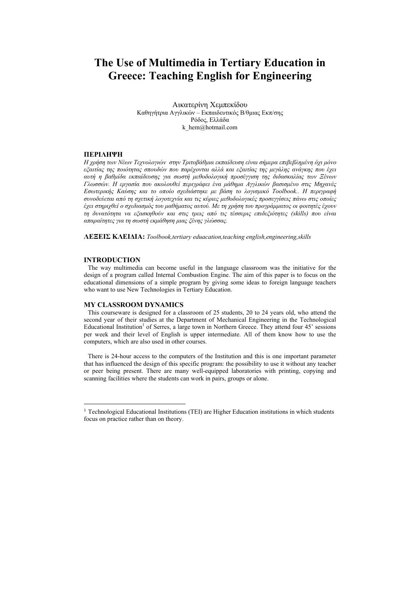# **The Use of Multimedia in Tertiary Education in Greece: Teaching English for Engineering**

Aικατερίνη Χεµπεκίδου Καθηγήτρια Αγγλικών – Εκπαιδευτικός Β/θµιας Εκπ/σης Ρόδος, Ελλάδα k hem@hotmail.com

## **ΠΕΡΙΛΗΨΗ**

Η χρήση των Νέων Τεχνολογιών στην Τριτοβάθμια εκπαίδευση είναι σήμερα επιβεβλημένη όχι μόνο *εξαιτίας της ποιότητας σπουδών που παρέχονται αλλά και εξαιτίας της µεγάλης ανάγκης που έχει αυτή η βαθµίδα εκπαίδευσης για σωστή µεθοδολογική προσέγγιση της διδασκαλίας των Ξένων Γλωσσών. Η εργασία που ακολουθεί περιγράφει ένα µάθηµα Αγγλικών βασισµένο στις Μηχανές Εσωτερικής Καύσης και το οποίο σχεδιάστηκε µε βάση το λογισµικό Toolbook.. Η περιγραφή συνοδεύεται από τη σχετική λογοτεχνία και τις κύριες µεθοδολογικές προσεγγίσεις πάνω στις οποίες* έχει στηριχθεί ο σχεδιασμός του μαθήματος αυτού. Με τη χρήση του προγράμματος οι φοιτητές έχουν *τη δυνατότητα να εξασκηθούν και στις τρεις από τις τέσσερις επιδεξιότητες (skills) που είναι απαραίτητες για τη σωστή εκµάθηση µιας ξένης γλώσσας.* 

**ΛΕΞΕΙΣ ΚΛΕΙ∆ΙΑ:** *Toolbook,tertiary eduacation,teaching english,engineering,skills* 

## **INTRODUCTION**

 $\overline{a}$ 

The way multimedia can become useful in the language classroom was the initiative for the design of a program called Internal Combustion Engine. The aim of this paper is to focus on the educational dimensions of a simple program by giving some ideas to foreign language teachers who want to use New Technologies in Tertiary Education.

## **MY CLASSROOM DYNAMICS**

This courseware is designed for a classroom of 25 students, 20 to 24 years old, who attend the second year of their studies at the Department of Mechanical Engineering in the Technological Educational Institution<sup>1</sup> of Serres, a large town in Northern Greece. They attend four 45' sessions per week and their level of English is upper intermediate. All of them know how to use the computers, which are also used in other courses.

There is 24-hour access to the computers of the Institution and this is one important parameter that has influenced the design of this specific program: the possibility to use it without any teacher or peer being present. There are many well-equipped laboratories with printing, copying and scanning facilities where the students can work in pairs, groups or alone.

<sup>&</sup>lt;sup>1</sup> Technological Educational Institutions (TEI) are Higher Education institutions in which students focus on practice rather than on theory.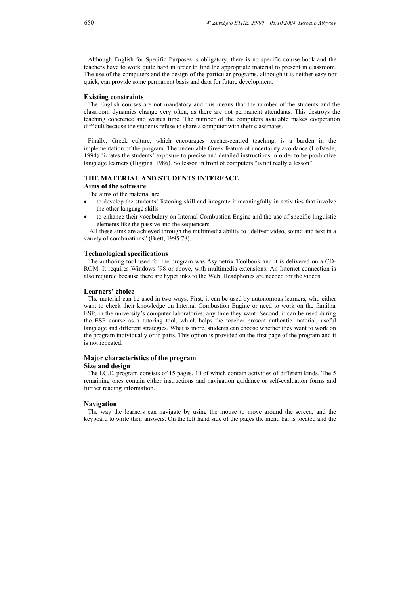Although English for Specific Purposes is obligatory, there is no specific course book and the teachers have to work quite hard in order to find the appropriate material to present in classroom. The use of the computers and the design of the particular programs, although it is neither easy nor quick, can provide some permanent basis and data for future development.

## **Existing constraints**

The English courses are not mandatory and this means that the number of the students and the classroom dynamics change very often, as there are not permanent attendants. This destroys the teaching coherence and wastes time. The number of the computers available makes cooperation difficult because the students refuse to share a computer with their classmates.

Finally, Greek culture, which encourages teacher-centred teaching, is a burden in the implementation of the program. The undeniable Greek feature of uncertainty avoidance (Hofstede, 1994) dictates the students' exposure to precise and detailed instructions in order to be productive language learners (Higgins, 1986). So lesson in front of computers "is not really a lesson"!

## **THE MATERIAL AND STUDENTS INTERFACE**

# **Aims of the software**

The aims of the material are

- to develop the students' listening skill and integrate it meaningfully in activities that involve the other language skills
- to enhance their vocabulary on Internal Combustion Engine and the use of specific linguistic elements like the passive and the sequencers.

 All these aims are achieved through the multimedia ability to "deliver video, sound and text in a variety of combinations" (Brett, 1995:78).

### **Technological specifications**

The authoring tool used for the program was Asymetrix Toolbook and it is delivered on a CD-ROM. It requires Windows '98 or above, with multimedia extensions. An Internet connection is also required because there are hyperlinks to the Web. Headphones are needed for the videos.

## **Learners' choice**

The material can be used in two ways. First, it can be used by autonomous learners, who either want to check their knowledge on Internal Combustion Engine or need to work on the familiar ESP, in the university's computer laboratories, any time they want. Second, it can be used during the ESP course as a tutoring tool, which helps the teacher present authentic material, useful language and different strategies. What is more, students can choose whether they want to work on the program individually or in pairs. This option is provided on the first page of the program and it is not repeated.

## **Major characteristics of the program Size and design**

The I.C.E. program consists of 15 pages, 10 of which contain activities of different kinds. The 5 remaining ones contain either instructions and navigation guidance or self-evaluation forms and further reading information.

#### **Navigation**

The way the learners can navigate by using the mouse to move around the screen, and the keyboard to write their answers. On the left hand side of the pages the menu bar is located and the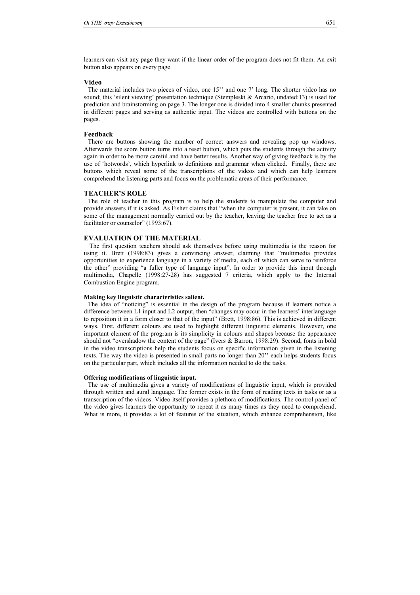learners can visit any page they want if the linear order of the program does not fit them. An exit button also appears on every page.

#### **Video**

The material includes two pieces of video, one 15'' and one 7' long. The shorter video has no sound; this 'silent viewing' presentation technique (Stempleski & Arcario, undated:13) is used for prediction and brainstorming on page 3. The longer one is divided into 4 smaller chunks presented in different pages and serving as authentic input. The videos are controlled with buttons on the pages.

## **Feedback**

There are buttons showing the number of correct answers and revealing pop up windows. Afterwards the score button turns into a reset button, which puts the students through the activity again in order to be more careful and have better results. Another way of giving feedback is by the use of 'hotwords', which hyperlink to definitions and grammar when clicked. Finally, there are buttons which reveal some of the transcriptions of the videos and which can help learners comprehend the listening parts and focus on the problematic areas of their performance.

## **TEACHER'S ROLE**

The role of teacher in this program is to help the students to manipulate the computer and provide answers if it is asked. As Fisher claims that "when the computer is present, it can take on some of the management normally carried out by the teacher, leaving the teacher free to act as a facilitator or counselor" (1993:67).

# **EVALUATION OF THE MATERIAL**

The first question teachers should ask themselves before using multimedia is the reason for using it. Brett (1998:83) gives a convincing answer, claiming that "multimedia provides opportunities to experience language in a variety of media, each of which can serve to reinforce the other" providing "a fuller type of language input". In order to provide this input through multimedia, Chapelle (1998:27-28) has suggested 7 criteria, which apply to the Internal Combustion Engine program.

## **Making key linguistic characteristics salient.**

The idea of "noticing" is essential in the design of the program because if learners notice a difference between L1 input and L2 output, then "changes may occur in the learners' interlanguage to reposition it in a form closer to that of the input" (Brett, 1998:86). This is achieved in different ways. First, different colours are used to highlight different linguistic elements. However, one important element of the program is its simplicity in colours and shapes because the appearance should not "overshadow the content of the page" (Ivers & Barron, 1998:29). Second, fonts in bold in the video transcriptions help the students focus on specific information given in the listening texts. The way the video is presented in small parts no longer than 20'' each helps students focus on the particular part, which includes all the information needed to do the tasks.

#### **Offering modifications of linguistic input.**

The use of multimedia gives a variety of modifications of linguistic input, which is provided through written and aural language. The former exists in the form of reading texts in tasks or as a transcription of the videos. Video itself provides a plethora of modifications. The control panel of the video gives learners the opportunity to repeat it as many times as they need to comprehend. What is more, it provides a lot of features of the situation, which enhance comprehension, like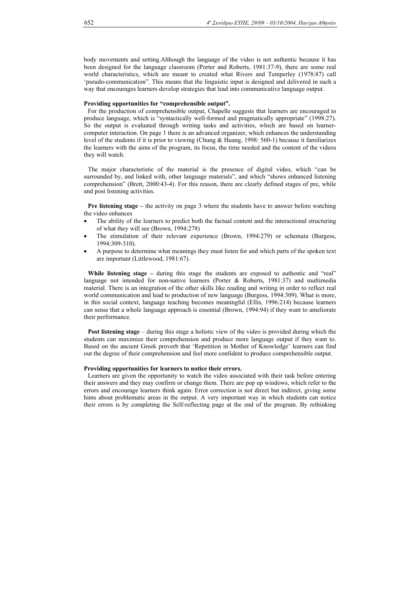body movements and setting.Although the language of the video is not authentic because it has been designed for the language classroom (Porter and Roberts, 1981:37-9), there are some real world characteristics, which are meant to created what Rivers and Temperley (1978:87) call 'pseudo-communication". This means that the linguistic input is designed and delivered in such a way that encourages learners develop strategies that lead into communicative language output.

# **Providing opportunities for "comprehensible output".**

For the production of comprehensible output, Chapelle suggests that learners are encouraged to produce language, which is "syntactically well-formed and pragmatically appropriate" (1998:27). So the output is evaluated through writing tasks and activities, which are based on learnercomputer interaction. On page 1 there is an advanced organizer, which enhances the understanding level of the students if it is prior to viewing (Chung & Huang, 1998: 560-1) because it familiarizes the learners with the aims of the program, its focus, the time needed and the content of the videos they will watch.

The major characteristic of the material is the presence of digital video, which "can be surrounded by, and linked with, other language materials", and which "shows enhanced listening comprehension" (Brett, 2000:43-4). For this reason, there are clearly defined stages of pre, while and post listening activities.

**Pre listening stage** – the activity on page 3 where the students have to answer before watching the video enhances

- The ability of the learners to predict both the factual content and the interactional structuring of what they will see (Brown, 1994:278)
- The stimulation of their relevant experience (Brown, 1994:279) or schemata (Burgess, 1994:309-310).
- A purpose to determine what meanings they must listen for and which parts of the spoken text are important (Littlewood, 1981:67).

While listening stage – during this stage the students are exposed to authentic and "real" language not intended for non-native learners (Porter & Roberts, 1981:37) and multimedia material. There is an integration of the other skills like reading and writing in order to reflect real world communication and lead to production of new language (Burgess, 1994:309). What is more, in this social context, language teaching becomes meaningful (Ellis, 1996:214) because learners can sense that a whole language approach is essential (Brown, 1994:94) if they want to ameliorate their performance.

**Post listening stage** – during this stage a holistic view of the video is provided during which the students can maximize their comprehension and produce more language output if they want to. Based on the ancient Greek proverb that 'Repetition in Mother of Knowledge' learners can find out the degree of their comprehension and feel more confident to produce comprehensible output.

#### **Providing opportunities for learners to notice their errors.**

Learners are given the opportunity to watch the video associated with their task before entering their answers and they may confirm or change them. There are pop up windows, which refer to the errors and encourage learners think again. Error correction is not direct but indirect, giving some hints about problematic areas in the output. A very important way in which students can notice their errors is by completing the Self-reflecting page at the end of the program. By rethinking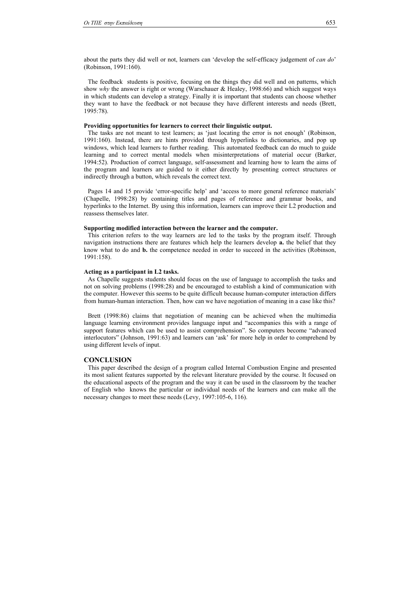about the parts they did well or not, learners can 'develop the self-efficacy judgement of *can do*' (Robinson, 1991:160).

The feedback students is positive, focusing on the things they did well and on patterns, which show *why* the answer is right or wrong (Warschauer & Healey, 1998:66) and which suggest ways in which students can develop a strategy. Finally it is important that students can choose whether they want to have the feedback or not because they have different interests and needs (Brett, 1995:78).

#### **Providing opportunities for learners to correct their linguistic output.**

The tasks are not meant to test learners; as 'just locating the error is not enough' (Robinson, 1991:160). Instead, there are hints provided through hyperlinks to dictionaries, and pop up windows, which lead learners to further reading. This automated feedback can do much to guide learning and to correct mental models when misinterpretations of material occur (Barker, 1994:52). Production of correct language, self-assessment and learning how to learn the aims of the program and learners are guided to it either directly by presenting correct structures or indirectly through a button, which reveals the correct text.

Pages 14 and 15 provide 'error-specific help' and 'access to more general reference materials' (Chapelle, 1998:28) by containing titles and pages of reference and grammar books, and hyperlinks to the Internet. By using this information, learners can improve their L2 production and reassess themselves later.

## **Supporting modified interaction between the learner and the computer.**

This criterion refers to the way learners are led to the tasks by the program itself. Through navigation instructions there are features which help the learners develop **a.** the belief that they know what to do and **b.** the competence needed in order to succeed in the activities (Robinson, 1991:158).

## **Acting as a participant in L2 tasks.**

As Chapelle suggests students should focus on the use of language to accomplish the tasks and not on solving problems (1998:28) and be encouraged to establish a kind of communication with the computer. However this seems to be quite difficult because human-computer interaction differs from human-human interaction. Then, how can we have negotiation of meaning in a case like this?

Brett (1998:86) claims that negotiation of meaning can be achieved when the multimedia language learning environment provides language input and "accompanies this with a range of support features which can be used to assist comprehension". So computers become "advanced interlocutors" (Johnson, 1991:63) and learners can 'ask' for more help in order to comprehend by using different levels of input.

#### **CONCLUSION**

This paper described the design of a program called Internal Combustion Engine and presented its most salient features supported by the relevant literature provided by the course. It focused on the educational aspects of the program and the way it can be used in the classroom by the teacher of English who knows the particular or individual needs of the learners and can make all the necessary changes to meet these needs (Levy, 1997:105-6, 116).